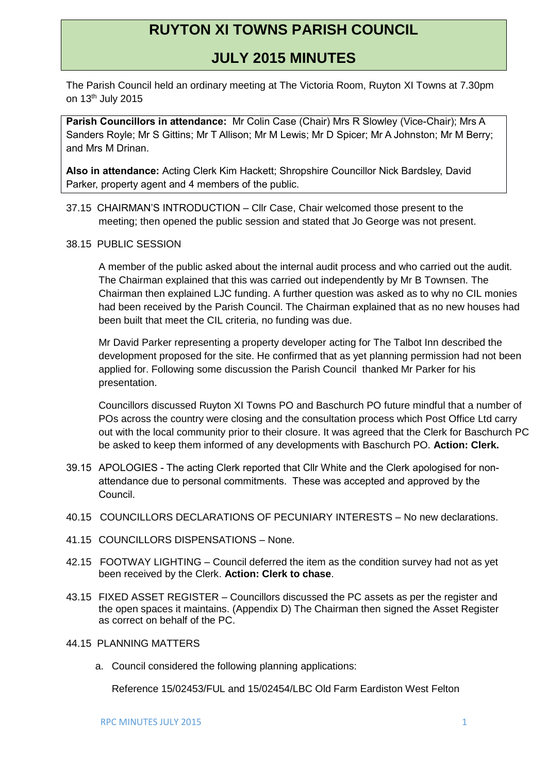## **RUYTON XI TOWNS PARISH COUNCIL**

## **JULY 2015 MINUTES**

The Parish Council held an ordinary meeting at The Victoria Room, Ruyton XI Towns at 7.30pm on 13th July 2015

**Parish Councillors in attendance:** Mr Colin Case (Chair) Mrs R Slowley (Vice-Chair); Mrs A Sanders Royle; Mr S Gittins; Mr T Allison; Mr M Lewis; Mr D Spicer; Mr A Johnston; Mr M Berry; and Mrs M Drinan.

**Also in attendance:** Acting Clerk Kim Hackett; Shropshire Councillor Nick Bardsley, David Parker, property agent and 4 members of the public.

- 37.15 CHAIRMAN'S INTRODUCTION Cllr Case, Chair welcomed those present to the meeting; then opened the public session and stated that Jo George was not present.
- 38.15 PUBLIC SESSION

A member of the public asked about the internal audit process and who carried out the audit. The Chairman explained that this was carried out independently by Mr B Townsen. The Chairman then explained LJC funding. A further question was asked as to why no CIL monies had been received by the Parish Council. The Chairman explained that as no new houses had been built that meet the CIL criteria, no funding was due.

Mr David Parker representing a property developer acting for The Talbot Inn described the development proposed for the site. He confirmed that as yet planning permission had not been applied for. Following some discussion the Parish Council thanked Mr Parker for his presentation.

Councillors discussed Ruyton XI Towns PO and Baschurch PO future mindful that a number of POs across the country were closing and the consultation process which Post Office Ltd carry out with the local community prior to their closure. It was agreed that the Clerk for Baschurch PC be asked to keep them informed of any developments with Baschurch PO. **Action: Clerk.**

- 39.15 APOLOGIES The acting Clerk reported that Cllr White and the Clerk apologised for nonattendance due to personal commitments. These was accepted and approved by the Council.
- 40.15 COUNCILLORS DECLARATIONS OF PECUNIARY INTERESTS No new declarations.
- 41.15 COUNCILLORS DISPENSATIONS None.
- 42.15 FOOTWAY LIGHTING Council deferred the item as the condition survey had not as yet been received by the Clerk. **Action: Clerk to chase**.
- 43.15 FIXED ASSET REGISTER Councillors discussed the PC assets as per the register and the open spaces it maintains. (Appendix D) The Chairman then signed the Asset Register as correct on behalf of the PC.
- 44.15 PLANNING MATTERS
	- a. Council considered the following planning applications:

Reference 15/02453/FUL and 15/02454/LBC Old Farm Eardiston West Felton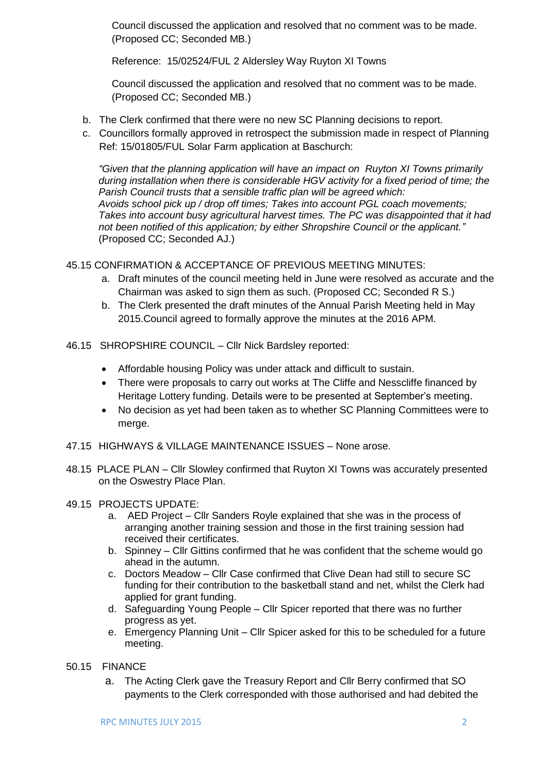Council discussed the application and resolved that no comment was to be made. (Proposed CC; Seconded MB.)

Reference: 15/02524/FUL 2 Aldersley Way Ruyton XI Towns

Council discussed the application and resolved that no comment was to be made. (Proposed CC; Seconded MB.)

- b. The Clerk confirmed that there were no new SC Planning decisions to report.
- c. Councillors formally approved in retrospect the submission made in respect of Planning Ref: 15/01805/FUL Solar Farm application at Baschurch:

*"Given that the planning application will have an impact on Ruyton XI Towns primarily during installation when there is considerable HGV activity for a fixed period of time; the Parish Council trusts that a sensible traffic plan will be agreed which: Avoids school pick up / drop off times; Takes into account PGL coach movements; Takes into account busy agricultural harvest times. The PC was disappointed that it had not been notified of this application; by either Shropshire Council or the applicant."* (Proposed CC; Seconded AJ.)

45.15 CONFIRMATION & ACCEPTANCE OF PREVIOUS MEETING MINUTES:

- a. Draft minutes of the council meeting held in June were resolved as accurate and the Chairman was asked to sign them as such. (Proposed CC; Seconded R S.)
- b. The Clerk presented the draft minutes of the Annual Parish Meeting held in May 2015.Council agreed to formally approve the minutes at the 2016 APM.
- 46.15 SHROPSHIRE COUNCIL Cllr Nick Bardsley reported:
	- Affordable housing Policy was under attack and difficult to sustain.
	- There were proposals to carry out works at The Cliffe and Nesscliffe financed by Heritage Lottery funding. Details were to be presented at September's meeting.
	- No decision as yet had been taken as to whether SC Planning Committees were to merge.
- 47.15 HIGHWAYS & VILLAGE MAINTENANCE ISSUES None arose.
- 48.15 PLACE PLAN Cllr Slowley confirmed that Ruyton XI Towns was accurately presented on the Oswestry Place Plan.

## 49.15 PROJECTS UPDATE:

- a. AED Project Cllr Sanders Royle explained that she was in the process of arranging another training session and those in the first training session had received their certificates.
- b. Spinney Cllr Gittins confirmed that he was confident that the scheme would go ahead in the autumn.
- c. Doctors Meadow Cllr Case confirmed that Clive Dean had still to secure SC funding for their contribution to the basketball stand and net, whilst the Clerk had applied for grant funding.
- d. Safeguarding Young People Cllr Spicer reported that there was no further progress as yet.
- e. Emergency Planning Unit Cllr Spicer asked for this to be scheduled for a future meeting.
- 50.15 FINANCE
	- a. The Acting Clerk gave the Treasury Report and Cllr Berry confirmed that SO payments to the Clerk corresponded with those authorised and had debited the